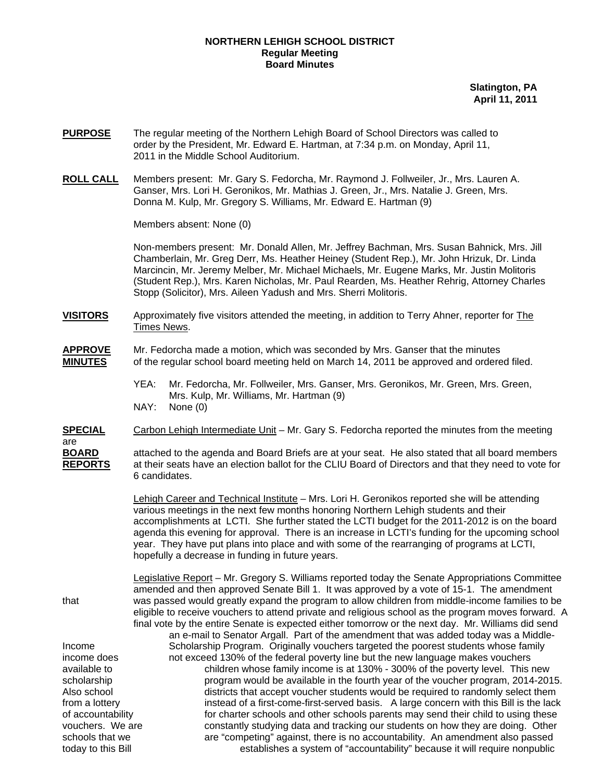## **NORTHERN LEHIGH SCHOOL DISTRICT Regular Meeting Board Minutes**

**Slatington, PA April 11, 2011**

- **PURPOSE** The regular meeting of the Northern Lehigh Board of School Directors was called to order by the President, Mr. Edward E. Hartman, at 7:34 p.m. on Monday, April 11, 2011 in the Middle School Auditorium.
- **ROLL CALL** Members present: Mr. Gary S. Fedorcha, Mr. Raymond J. Follweiler, Jr., Mrs. Lauren A. Ganser, Mrs. Lori H. Geronikos, Mr. Mathias J. Green, Jr., Mrs. Natalie J. Green, Mrs. Donna M. Kulp, Mr. Gregory S. Williams, Mr. Edward E. Hartman (9)

Members absent: None (0)

6 candidates.

Non-members present: Mr. Donald Allen, Mr. Jeffrey Bachman, Mrs. Susan Bahnick, Mrs. Jill Chamberlain, Mr. Greg Derr, Ms. Heather Heiney (Student Rep.), Mr. John Hrizuk, Dr. Linda Marcincin, Mr. Jeremy Melber, Mr. Michael Michaels, Mr. Eugene Marks, Mr. Justin Molitoris (Student Rep.), Mrs. Karen Nicholas, Mr. Paul Rearden, Ms. Heather Rehrig, Attorney Charles Stopp (Solicitor), Mrs. Aileen Yadush and Mrs. Sherri Molitoris.

- **VISITORS** Approximately five visitors attended the meeting, in addition to Terry Ahner, reporter for The Times News.
- **APPROVE** Mr. Fedorcha made a motion, which was seconded by Mrs. Ganser that the minutes **MINUTES** of the regular school board meeting held on March 14, 2011 be approved and ordered filed.
	- YEA: Mr. Fedorcha, Mr. Follweiler, Mrs. Ganser, Mrs. Geronikos, Mr. Green, Mrs. Green, Mrs. Kulp, Mr. Williams, Mr. Hartman (9) NAY: None (0)
- **SPECIAL** Carbon Lehigh Intermediate Unit Mr. Gary S. Fedorcha reported the minutes from the meeting are **BOARD** attached to the agenda and Board Briefs are at your seat. He also stated that all board members **REPORTS** at their seats have an election ballot for the CLIU Board of Directors and that they need to vote for

Lehigh Career and Technical Institute - Mrs. Lori H. Geronikos reported she will be attending various meetings in the next few months honoring Northern Lehigh students and their accomplishments at LCTI. She further stated the LCTI budget for the 2011-2012 is on the board agenda this evening for approval. There is an increase in LCTI's funding for the upcoming school year. They have put plans into place and with some of the rearranging of programs at LCTI, hopefully a decrease in funding in future years.

 Legislative Report – Mr. Gregory S. Williams reported today the Senate Appropriations Committee amended and then approved Senate Bill 1. It was approved by a vote of 15-1. The amendment that was passed would greatly expand the program to allow children from middle-income families to be eligible to receive vouchers to attend private and religious school as the program moves forward. A final vote by the entire Senate is expected either tomorrow or the next day. Mr. Williams did send

 an e-mail to Senator Argall. Part of the amendment that was added today was a Middle-Income Scholarship Program. Originally vouchers targeted the poorest students whose family income does not exceed 130% of the federal poverty line but the new language makes vouchers available to children whose family income is at 130% - 300% of the poverty level. This new scholarship **program would be available in the fourth year of the voucher program, 2014-2015.** Also school districts that accept voucher students would be required to randomly select them from a lottery instead of a first-come-first-served basis. A large concern with this Bill is the lack of accountability for charter schools and other schools parents may send their child to using these vouchers. We are constantly studying data and tracking our students on how they are doing. Other schools that we **are "competing" against, there is no accountability.** An amendment also passed today to this Bill establishes a system of "accountability" because it will require nonpublic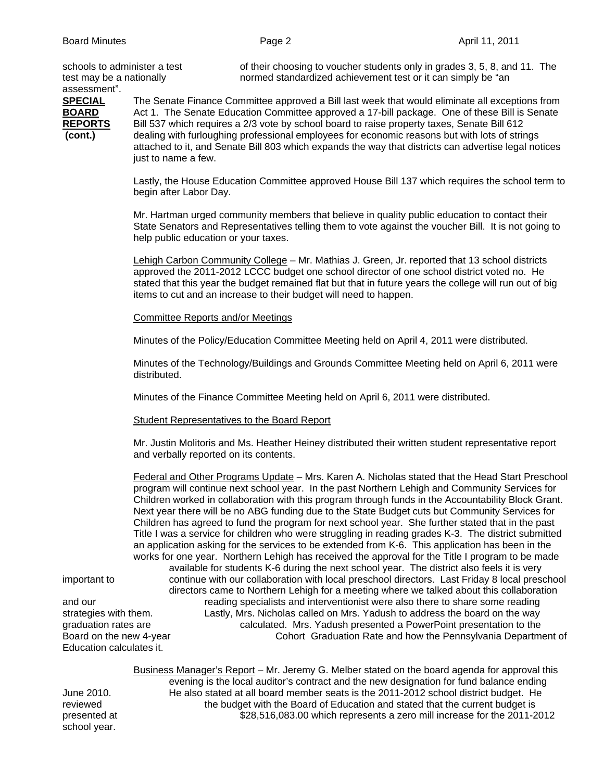assessment".

schools to administer a test of their choosing to voucher students only in grades 3, 5, 8, and 11. The test may be a nationally normed standardized achievement test or it can simply be "an

**SPECIAL** The Senate Finance Committee approved a Bill last week that would eliminate all exceptions from **BOARD** Act 1. The Senate Education Committee approved a 17-bill package. One of these Bill is Senate **REPORTS** Bill 537 which requires a 2/3 vote by school board to raise property taxes, Senate Bill 612 **(cont.)** dealing with furloughing professional employees for economic reasons but with lots of strings attached to it, and Senate Bill 803 which expands the way that districts can advertise legal notices just to name a few.

> Lastly, the House Education Committee approved House Bill 137 which requires the school term to begin after Labor Day.

 Mr. Hartman urged community members that believe in quality public education to contact their State Senators and Representatives telling them to vote against the voucher Bill. It is not going to help public education or your taxes.

Lehigh Carbon Community College – Mr. Mathias J. Green, Jr. reported that 13 school districts approved the 2011-2012 LCCC budget one school director of one school district voted no. He stated that this year the budget remained flat but that in future years the college will run out of big items to cut and an increase to their budget will need to happen.

Committee Reports and/or Meetings

Minutes of the Policy/Education Committee Meeting held on April 4, 2011 were distributed.

Minutes of the Technology/Buildings and Grounds Committee Meeting held on April 6, 2011 were distributed.

Minutes of the Finance Committee Meeting held on April 6, 2011 were distributed.

Student Representatives to the Board Report

 Mr. Justin Molitoris and Ms. Heather Heiney distributed their written student representative report and verbally reported on its contents.

 Federal and Other Programs Update – Mrs. Karen A. Nicholas stated that the Head Start Preschool program will continue next school year. In the past Northern Lehigh and Community Services for Children worked in collaboration with this program through funds in the Accountability Block Grant. Next year there will be no ABG funding due to the State Budget cuts but Community Services for Children has agreed to fund the program for next school year. She further stated that in the past Title I was a service for children who were struggling in reading grades K-3. The district submitted an application asking for the services to be extended from K-6. This application has been in the works for one year. Northern Lehigh has received the approval for the Title I program to be made available for students K-6 during the next school year. The district also feels it is very important to continue with our collaboration with local preschool directors. Last Friday 8 local preschool directors came to Northern Lehigh for a meeting where we talked about this collaboration and our reading specialists and interventionist were also there to share some reading<br>strategies with them. Lastly, Mrs. Nicholas called on Mrs. Yadush to address the board on the way Lastly, Mrs. Nicholas called on Mrs. Yadush to address the board on the way graduation rates are calculated. Mrs. Yadush presented a PowerPoint presentation to the Board on the new 4-year Cohort Graduation Rate and how the Pennsylvania Department of

Education calculates it.

 Business Manager's Report – Mr. Jeremy G. Melber stated on the board agenda for approval this evening is the local auditor's contract and the new designation for fund balance ending June 2010. He also stated at all board member seats is the 2011-2012 school district budget. He reviewed the budget with the Board of Education and stated that the current budget is presented at \$28,516,083.00 which represents a zero mill increase for the 2011-2012

school year.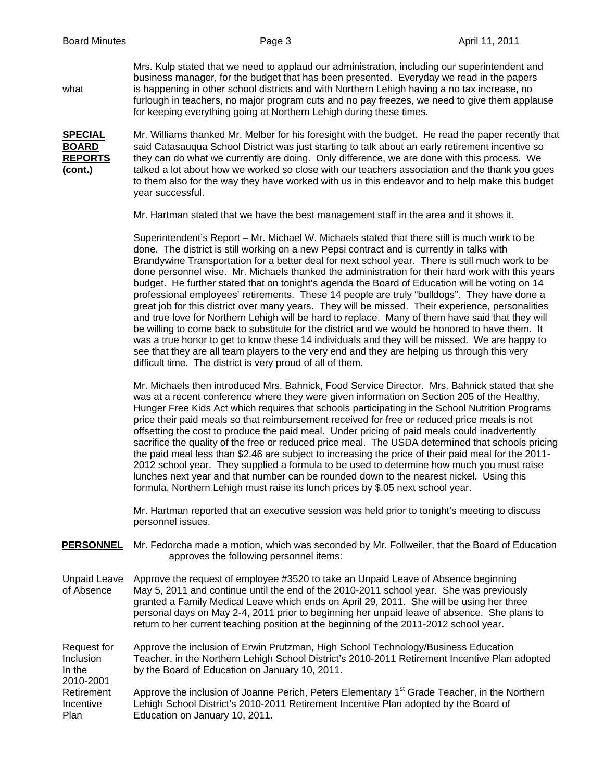Mrs. Kulp stated that we need to applaud our administration, including our superintendent and business manager, for the budget that has been presented. Everyday we read in the papers what is happening in other school districts and with Northern Lehigh having a no tax increase, no furlough in teachers, no major program cuts and no pay freezes, we need to give them applause for keeping everything going at Northern Lehigh during these times.

**SPECIAL** Mr. Williams thanked Mr. Melber for his foresight with the budget. He read the paper recently that **BOARD** said Catasauqua School District was just starting to talk about an early retirement incentive so **REPORTS** they can do what we currently are doing. Only difference, we are done with this process. We **(cont.)** talked a lot about how we worked so close with our teachers association and the thank you goes to them also for the way they have worked with us in this endeavor and to help make this budget year successful.

Mr. Hartman stated that we have the best management staff in the area and it shows it.

Superintendent's Report – Mr. Michael W. Michaels stated that there still is much work to be done. The district is still working on a new Pepsi contract and is currently in talks with Brandywine Transportation for a better deal for next school year. There is still much work to be done personnel wise. Mr. Michaels thanked the administration for their hard work with this years budget. He further stated that on tonight's agenda the Board of Education will be voting on 14 professional employees' retirements. These 14 people are truly "bulldogs". They have done a great job for this district over many years. They will be missed. Their experience, personalities and true love for Northern Lehigh will be hard to replace. Many of them have said that they will be willing to come back to substitute for the district and we would be honored to have them. It was a true honor to get to know these 14 individuals and they will be missed. We are happy to see that they are all team players to the very end and they are helping us through this very difficult time. The district is very proud of all of them.

Mr. Michaels then introduced Mrs. Bahnick, Food Service Director. Mrs. Bahnick stated that she was at a recent conference where they were given information on Section 205 of the Healthy, Hunger Free Kids Act which requires that schools participating in the School Nutrition Programs price their paid meals so that reimbursement received for free or reduced price meals is not offsetting the cost to produce the paid meal. Under pricing of paid meals could inadvertently sacrifice the quality of the free or reduced price meal. The USDA determined that schools pricing the paid meal less than \$2.46 are subject to increasing the price of their paid meal for the 2011- 2012 school year. They supplied a formula to be used to determine how much you must raise lunches next year and that number can be rounded down to the nearest nickel. Using this formula, Northern Lehigh must raise its lunch prices by \$.05 next school year.

Mr. Hartman reported that an executive session was held prior to tonight's meeting to discuss personnel issues.

**PERSONNEL** Mr. Fedorcha made a motion, which was seconded by Mr. Follweiler, that the Board of Education approves the following personnel items:

Unpaid Leave Approve the request of employee #3520 to take an Unpaid Leave of Absence beginning of Absence May 5, 2011 and continue until the end of the 2010-2011 school year. She was previously granted a Family Medical Leave which ends on April 29, 2011. She will be using her three personal days on May 2-4, 2011 prior to beginning her unpaid leave of absence. She plans to return to her current teaching position at the beginning of the 2011-2012 school year.

Request for Approve the inclusion of Erwin Prutzman, High School Technology/Business Education Inclusion Teacher, in the Northern Lehigh School District's 2010-2011 Retirement Incentive Plan adopted In the by the Board of Education on January 10, 2011. 2010-2001 Retirement Approve the inclusion of Joanne Perich, Peters Elementary 1<sup>st</sup> Grade Teacher, in the Northern Incentive Lehigh School District's 2010-2011 Retirement Incentive Plan adopted by the Board of Plan Education on January 10, 2011.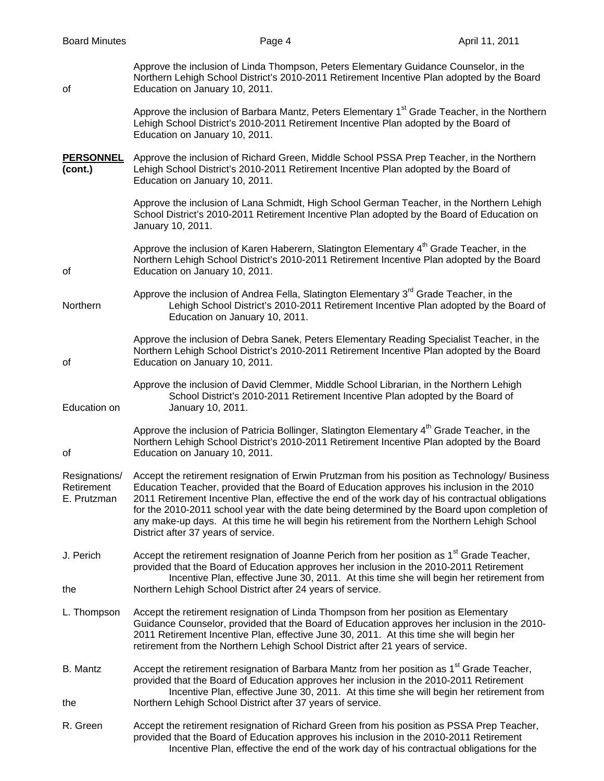| <b>Board Minutes</b>                       | Page 4                                                                                                                                                                                                                                                                                                                                                                                                                                                                                                                                | April 11, 2011 |
|--------------------------------------------|---------------------------------------------------------------------------------------------------------------------------------------------------------------------------------------------------------------------------------------------------------------------------------------------------------------------------------------------------------------------------------------------------------------------------------------------------------------------------------------------------------------------------------------|----------------|
| οf                                         | Approve the inclusion of Linda Thompson, Peters Elementary Guidance Counselor, in the<br>Northern Lehigh School District's 2010-2011 Retirement Incentive Plan adopted by the Board<br>Education on January 10, 2011.                                                                                                                                                                                                                                                                                                                 |                |
|                                            | Approve the inclusion of Barbara Mantz, Peters Elementary 1 <sup>st</sup> Grade Teacher, in the Northern<br>Lehigh School District's 2010-2011 Retirement Incentive Plan adopted by the Board of<br>Education on January 10, 2011.                                                                                                                                                                                                                                                                                                    |                |
| <b>PERSONNEL</b><br>(cont.)                | Approve the inclusion of Richard Green, Middle School PSSA Prep Teacher, in the Northern<br>Lehigh School District's 2010-2011 Retirement Incentive Plan adopted by the Board of<br>Education on January 10, 2011.                                                                                                                                                                                                                                                                                                                    |                |
|                                            | Approve the inclusion of Lana Schmidt, High School German Teacher, in the Northern Lehigh<br>School District's 2010-2011 Retirement Incentive Plan adopted by the Board of Education on<br>January 10, 2011.                                                                                                                                                                                                                                                                                                                          |                |
| οf                                         | Approve the inclusion of Karen Haberern, Slatington Elementary 4 <sup>th</sup> Grade Teacher, in the<br>Northern Lehigh School District's 2010-2011 Retirement Incentive Plan adopted by the Board<br>Education on January 10, 2011.                                                                                                                                                                                                                                                                                                  |                |
| Northern                                   | Approve the inclusion of Andrea Fella, Slatington Elementary 3 <sup>rd</sup> Grade Teacher, in the<br>Lehigh School District's 2010-2011 Retirement Incentive Plan adopted by the Board of<br>Education on January 10, 2011.                                                                                                                                                                                                                                                                                                          |                |
| οf                                         | Approve the inclusion of Debra Sanek, Peters Elementary Reading Specialist Teacher, in the<br>Northern Lehigh School District's 2010-2011 Retirement Incentive Plan adopted by the Board<br>Education on January 10, 2011.                                                                                                                                                                                                                                                                                                            |                |
| Education on                               | Approve the inclusion of David Clemmer, Middle School Librarian, in the Northern Lehigh<br>School District's 2010-2011 Retirement Incentive Plan adopted by the Board of<br>January 10, 2011.                                                                                                                                                                                                                                                                                                                                         |                |
| οf                                         | Approve the inclusion of Patricia Bollinger, Slatington Elementary 4 <sup>th</sup> Grade Teacher, in the<br>Northern Lehigh School District's 2010-2011 Retirement Incentive Plan adopted by the Board<br>Education on January 10, 2011.                                                                                                                                                                                                                                                                                              |                |
| Resignations/<br>Retirement<br>E. Prutzman | Accept the retirement resignation of Erwin Prutzman from his position as Technology/ Business<br>Education Teacher, provided that the Board of Education approves his inclusion in the 2010<br>2011 Retirement Incentive Plan, effective the end of the work day of his contractual obligations<br>for the 2010-2011 school year with the date being determined by the Board upon completion of<br>any make-up days. At this time he will begin his retirement from the Northern Lehigh School<br>District after 37 years of service. |                |
| J. Perich                                  | Accept the retirement resignation of Joanne Perich from her position as 1 <sup>st</sup> Grade Teacher,<br>provided that the Board of Education approves her inclusion in the 2010-2011 Retirement<br>Incentive Plan, effective June 30, 2011. At this time she will begin her retirement from                                                                                                                                                                                                                                         |                |
| the                                        | Northern Lehigh School District after 24 years of service.                                                                                                                                                                                                                                                                                                                                                                                                                                                                            |                |
| L. Thompson                                | Accept the retirement resignation of Linda Thompson from her position as Elementary<br>Guidance Counselor, provided that the Board of Education approves her inclusion in the 2010-<br>2011 Retirement Incentive Plan, effective June 30, 2011. At this time she will begin her<br>retirement from the Northern Lehigh School District after 21 years of service.                                                                                                                                                                     |                |
| B. Mantz                                   | Accept the retirement resignation of Barbara Mantz from her position as 1 <sup>st</sup> Grade Teacher,<br>provided that the Board of Education approves her inclusion in the 2010-2011 Retirement<br>Incentive Plan, effective June 30, 2011. At this time she will begin her retirement from                                                                                                                                                                                                                                         |                |
| the                                        | Northern Lehigh School District after 37 years of service.                                                                                                                                                                                                                                                                                                                                                                                                                                                                            |                |
| R. Green                                   | Accept the retirement resignation of Richard Green from his position as PSSA Prep Teacher,<br>provided that the Board of Education approves his inclusion in the 2010-2011 Retirement<br>Incentive Plan, effective the end of the work day of his contractual obligations for the                                                                                                                                                                                                                                                     |                |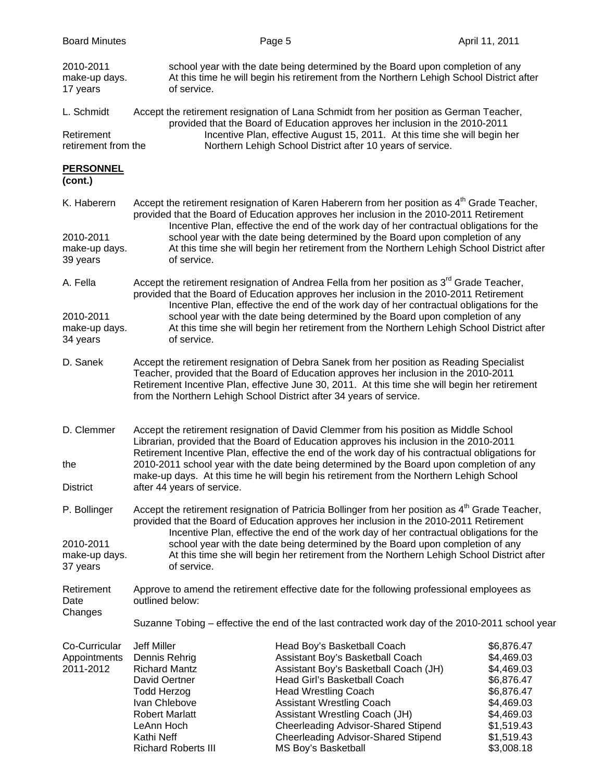| <b>Board Minutes</b>                       |                                                                                                                                                                                                        |                                                                                                               | Page 5                                                                                                                                                                                                                                                                                                                                                                                                                                                                        | April 11, 2011                                                                                                                           |  |
|--------------------------------------------|--------------------------------------------------------------------------------------------------------------------------------------------------------------------------------------------------------|---------------------------------------------------------------------------------------------------------------|-------------------------------------------------------------------------------------------------------------------------------------------------------------------------------------------------------------------------------------------------------------------------------------------------------------------------------------------------------------------------------------------------------------------------------------------------------------------------------|------------------------------------------------------------------------------------------------------------------------------------------|--|
| 2010-2011<br>make-up days.<br>17 years     |                                                                                                                                                                                                        | of service.                                                                                                   | school year with the date being determined by the Board upon completion of any<br>At this time he will begin his retirement from the Northern Lehigh School District after                                                                                                                                                                                                                                                                                                    |                                                                                                                                          |  |
| L. Schmidt                                 |                                                                                                                                                                                                        |                                                                                                               | Accept the retirement resignation of Lana Schmidt from her position as German Teacher,<br>provided that the Board of Education approves her inclusion in the 2010-2011<br>Incentive Plan, effective August 15, 2011. At this time she will begin her<br>Northern Lehigh School District after 10 years of service.                                                                                                                                                            |                                                                                                                                          |  |
| Retirement<br>retirement from the          |                                                                                                                                                                                                        |                                                                                                               |                                                                                                                                                                                                                                                                                                                                                                                                                                                                               |                                                                                                                                          |  |
| <b>PERSONNEL</b><br>(cont.)                |                                                                                                                                                                                                        |                                                                                                               |                                                                                                                                                                                                                                                                                                                                                                                                                                                                               |                                                                                                                                          |  |
| K. Haberern                                |                                                                                                                                                                                                        |                                                                                                               | Accept the retirement resignation of Karen Haberern from her position as 4 <sup>th</sup> Grade Teacher,<br>provided that the Board of Education approves her inclusion in the 2010-2011 Retirement<br>Incentive Plan, effective the end of the work day of her contractual obligations for the<br>school year with the date being determined by the Board upon completion of any<br>At this time she will begin her retirement from the Northern Lehigh School District after |                                                                                                                                          |  |
| 2010-2011<br>make-up days.<br>39 years     |                                                                                                                                                                                                        | of service.                                                                                                   |                                                                                                                                                                                                                                                                                                                                                                                                                                                                               |                                                                                                                                          |  |
| A. Fella                                   |                                                                                                                                                                                                        |                                                                                                               | Accept the retirement resignation of Andrea Fella from her position as 3 <sup>rd</sup> Grade Teacher,<br>provided that the Board of Education approves her inclusion in the 2010-2011 Retirement                                                                                                                                                                                                                                                                              |                                                                                                                                          |  |
| 2010-2011<br>make-up days.<br>34 years     |                                                                                                                                                                                                        | of service.                                                                                                   | Incentive Plan, effective the end of the work day of her contractual obligations for the<br>school year with the date being determined by the Board upon completion of any<br>At this time she will begin her retirement from the Northern Lehigh School District after                                                                                                                                                                                                       |                                                                                                                                          |  |
| D. Sanek                                   |                                                                                                                                                                                                        |                                                                                                               | Accept the retirement resignation of Debra Sanek from her position as Reading Specialist<br>Teacher, provided that the Board of Education approves her inclusion in the 2010-2011<br>Retirement Incentive Plan, effective June 30, 2011. At this time she will begin her retirement<br>from the Northern Lehigh School District after 34 years of service.                                                                                                                    |                                                                                                                                          |  |
| D. Clemmer<br>the<br><b>District</b>       |                                                                                                                                                                                                        | after 44 years of service.                                                                                    | Accept the retirement resignation of David Clemmer from his position as Middle School<br>Librarian, provided that the Board of Education approves his inclusion in the 2010-2011<br>Retirement Incentive Plan, effective the end of the work day of his contractual obligations for<br>2010-2011 school year with the date being determined by the Board upon completion of any<br>make-up days. At this time he will begin his retirement from the Northern Lehigh School    |                                                                                                                                          |  |
| P. Bollinger                               | Accept the retirement resignation of Patricia Bollinger from her position as 4 <sup>th</sup> Grade Teacher,<br>provided that the Board of Education approves her inclusion in the 2010-2011 Retirement |                                                                                                               |                                                                                                                                                                                                                                                                                                                                                                                                                                                                               |                                                                                                                                          |  |
| 2010-2011<br>make-up days.<br>37 years     |                                                                                                                                                                                                        | of service.                                                                                                   | Incentive Plan, effective the end of the work day of her contractual obligations for the<br>school year with the date being determined by the Board upon completion of any<br>At this time she will begin her retirement from the Northern Lehigh School District after                                                                                                                                                                                                       |                                                                                                                                          |  |
| Retirement<br>Date                         |                                                                                                                                                                                                        | Approve to amend the retirement effective date for the following professional employees as<br>outlined below: |                                                                                                                                                                                                                                                                                                                                                                                                                                                                               |                                                                                                                                          |  |
| Changes                                    | Suzanne Tobing – effective the end of the last contracted work day of the 2010-2011 school year                                                                                                        |                                                                                                               |                                                                                                                                                                                                                                                                                                                                                                                                                                                                               |                                                                                                                                          |  |
| Co-Curricular<br>Appointments<br>2011-2012 | <b>Jeff Miller</b><br>Dennis Rehrig<br><b>Richard Mantz</b><br>David Oertner<br><b>Todd Herzog</b><br>Ivan Chlebove<br><b>Robert Marlatt</b><br>LeAnn Hoch<br>Kathi Neff                               | <b>Richard Roberts III</b>                                                                                    | Head Boy's Basketball Coach<br>Assistant Boy's Basketball Coach<br>Assistant Boy's Basketball Coach (JH)<br>Head Girl's Basketball Coach<br><b>Head Wrestling Coach</b><br><b>Assistant Wrestling Coach</b><br>Assistant Wrestling Coach (JH)<br><b>Cheerleading Advisor-Shared Stipend</b><br><b>Cheerleading Advisor-Shared Stipend</b><br>MS Boy's Basketball                                                                                                              | \$6,876.47<br>\$4,469.03<br>\$4,469.03<br>\$6,876.47<br>\$6,876.47<br>\$4,469.03<br>\$4,469.03<br>\$1,519.43<br>\$1,519.43<br>\$3,008.18 |  |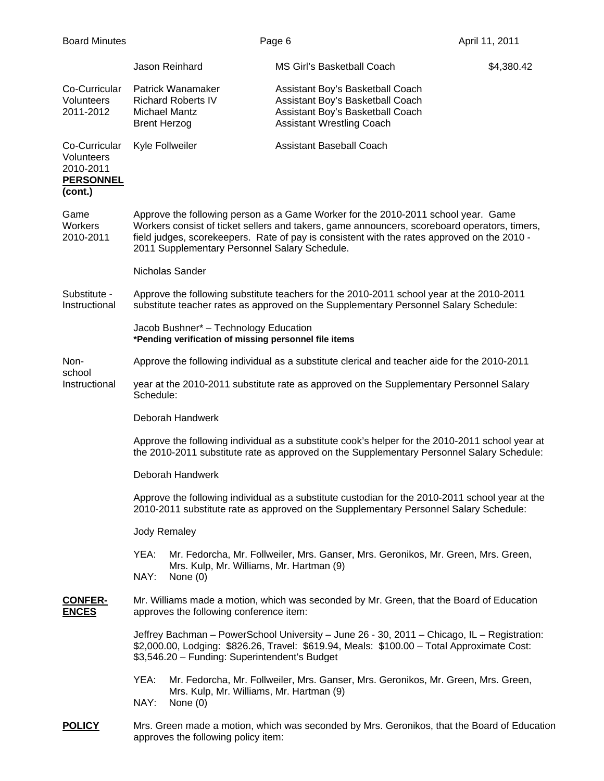| <b>Board Minutes</b>                                                    |                                                                                                                                                                                                                                                                                                                                   |                                                                        | Page 6 |                                                                                                                                              | April 11, 2011 |
|-------------------------------------------------------------------------|-----------------------------------------------------------------------------------------------------------------------------------------------------------------------------------------------------------------------------------------------------------------------------------------------------------------------------------|------------------------------------------------------------------------|--------|----------------------------------------------------------------------------------------------------------------------------------------------|----------------|
|                                                                         |                                                                                                                                                                                                                                                                                                                                   | Jason Reinhard                                                         |        | MS Girl's Basketball Coach                                                                                                                   | \$4,380.42     |
| Co-Curricular<br><b>Volunteers</b><br>2011-2012                         | <b>Brent Herzog</b>                                                                                                                                                                                                                                                                                                               | Patrick Wanamaker<br><b>Richard Roberts IV</b><br><b>Michael Mantz</b> |        | Assistant Boy's Basketball Coach<br>Assistant Boy's Basketball Coach<br>Assistant Boy's Basketball Coach<br><b>Assistant Wrestling Coach</b> |                |
| Co-Curricular<br>Volunteers<br>2010-2011<br><b>PERSONNEL</b><br>(cont.) |                                                                                                                                                                                                                                                                                                                                   | Kyle Follweiler                                                        |        | <b>Assistant Baseball Coach</b>                                                                                                              |                |
| Game<br>Workers<br>2010-2011                                            | Approve the following person as a Game Worker for the 2010-2011 school year. Game<br>Workers consist of ticket sellers and takers, game announcers, scoreboard operators, timers,<br>field judges, scorekeepers. Rate of pay is consistent with the rates approved on the 2010 -<br>2011 Supplementary Personnel Salary Schedule. |                                                                        |        |                                                                                                                                              |                |
|                                                                         | Nicholas Sander                                                                                                                                                                                                                                                                                                                   |                                                                        |        |                                                                                                                                              |                |
| Substitute -<br>Instructional                                           | Approve the following substitute teachers for the 2010-2011 school year at the 2010-2011<br>substitute teacher rates as approved on the Supplementary Personnel Salary Schedule:                                                                                                                                                  |                                                                        |        |                                                                                                                                              |                |
|                                                                         | Jacob Bushner* - Technology Education<br>*Pending verification of missing personnel file items                                                                                                                                                                                                                                    |                                                                        |        |                                                                                                                                              |                |
| Non-<br>school                                                          | Approve the following individual as a substitute clerical and teacher aide for the 2010-2011                                                                                                                                                                                                                                      |                                                                        |        |                                                                                                                                              |                |
| Instructional                                                           | year at the 2010-2011 substitute rate as approved on the Supplementary Personnel Salary<br>Schedule:                                                                                                                                                                                                                              |                                                                        |        |                                                                                                                                              |                |
|                                                                         | Deborah Handwerk                                                                                                                                                                                                                                                                                                                  |                                                                        |        |                                                                                                                                              |                |
|                                                                         | Approve the following individual as a substitute cook's helper for the 2010-2011 school year at<br>the 2010-2011 substitute rate as approved on the Supplementary Personnel Salary Schedule:                                                                                                                                      |                                                                        |        |                                                                                                                                              |                |
|                                                                         | Deborah Handwerk                                                                                                                                                                                                                                                                                                                  |                                                                        |        |                                                                                                                                              |                |
|                                                                         | Approve the following individual as a substitute custodian for the 2010-2011 school year at the<br>2010-2011 substitute rate as approved on the Supplementary Personnel Salary Schedule:                                                                                                                                          |                                                                        |        |                                                                                                                                              |                |
|                                                                         | Jody Remaley                                                                                                                                                                                                                                                                                                                      |                                                                        |        |                                                                                                                                              |                |
|                                                                         | YEA:<br>NAY:                                                                                                                                                                                                                                                                                                                      | Mrs. Kulp, Mr. Williams, Mr. Hartman (9)<br>None $(0)$                 |        | Mr. Fedorcha, Mr. Follweiler, Mrs. Ganser, Mrs. Geronikos, Mr. Green, Mrs. Green,                                                            |                |
| <b>CONFER-</b><br><b>ENCES</b>                                          | Mr. Williams made a motion, which was seconded by Mr. Green, that the Board of Education<br>approves the following conference item:                                                                                                                                                                                               |                                                                        |        |                                                                                                                                              |                |
|                                                                         | Jeffrey Bachman - PowerSchool University - June 26 - 30, 2011 - Chicago, IL - Registration:<br>\$2,000.00, Lodging: \$826.26, Travel: \$619.94, Meals: \$100.00 - Total Approximate Cost:<br>\$3,546.20 - Funding: Superintendent's Budget                                                                                        |                                                                        |        |                                                                                                                                              |                |
|                                                                         | YEA:<br>NAY:                                                                                                                                                                                                                                                                                                                      | Mrs. Kulp, Mr. Williams, Mr. Hartman (9)<br>None $(0)$                 |        | Mr. Fedorcha, Mr. Follweiler, Mrs. Ganser, Mrs. Geronikos, Mr. Green, Mrs. Green,                                                            |                |
| <b>POLICY</b>                                                           |                                                                                                                                                                                                                                                                                                                                   | approves the following policy item:                                    |        | Mrs. Green made a motion, which was seconded by Mrs. Geronikos, that the Board of Education                                                  |                |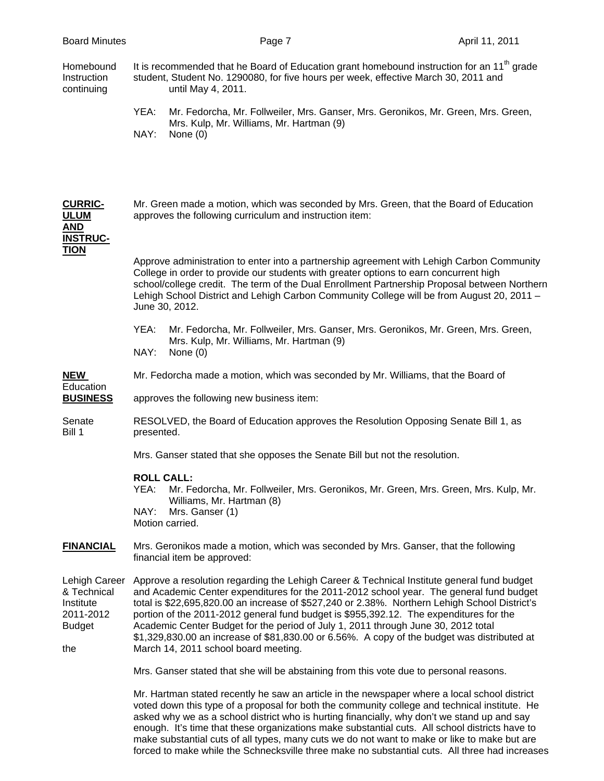| <b>Board Minutes</b>                                                           | Page 7                                                                                                                                                                                                                                                                                                                                                                                                                                                                                                                                                                                                       | April 11, 2011 |
|--------------------------------------------------------------------------------|--------------------------------------------------------------------------------------------------------------------------------------------------------------------------------------------------------------------------------------------------------------------------------------------------------------------------------------------------------------------------------------------------------------------------------------------------------------------------------------------------------------------------------------------------------------------------------------------------------------|----------------|
| Homebound<br>Instruction<br>continuing                                         | It is recommended that he Board of Education grant homebound instruction for an $11th$ grade<br>student, Student No. 1290080, for five hours per week, effective March 30, 2011 and<br>until May 4, 2011.                                                                                                                                                                                                                                                                                                                                                                                                    |                |
|                                                                                | YEA:<br>Mr. Fedorcha, Mr. Follweiler, Mrs. Ganser, Mrs. Geronikos, Mr. Green, Mrs. Green,<br>Mrs. Kulp, Mr. Williams, Mr. Hartman (9)<br>NAY:<br>None $(0)$                                                                                                                                                                                                                                                                                                                                                                                                                                                  |                |
| <b>CURRIC-</b><br><b>ULUM</b><br><u>AND</u><br><b>INSTRUC-</b>                 | Mr. Green made a motion, which was seconded by Mrs. Green, that the Board of Education<br>approves the following curriculum and instruction item:                                                                                                                                                                                                                                                                                                                                                                                                                                                            |                |
| <b>TION</b>                                                                    | Approve administration to enter into a partnership agreement with Lehigh Carbon Community<br>College in order to provide our students with greater options to earn concurrent high<br>school/college credit. The term of the Dual Enrollment Partnership Proposal between Northern<br>Lehigh School District and Lehigh Carbon Community College will be from August 20, 2011 -<br>June 30, 2012.                                                                                                                                                                                                            |                |
|                                                                                | Mr. Fedorcha, Mr. Follweiler, Mrs. Ganser, Mrs. Geronikos, Mr. Green, Mrs. Green,<br>YEA:<br>Mrs. Kulp, Mr. Williams, Mr. Hartman (9)<br>NAY:<br>None $(0)$                                                                                                                                                                                                                                                                                                                                                                                                                                                  |                |
| NEW                                                                            | Mr. Fedorcha made a motion, which was seconded by Mr. Williams, that the Board of                                                                                                                                                                                                                                                                                                                                                                                                                                                                                                                            |                |
| Education<br><b>BUSINESS</b>                                                   | approves the following new business item:                                                                                                                                                                                                                                                                                                                                                                                                                                                                                                                                                                    |                |
| Senate<br>Bill 1                                                               | RESOLVED, the Board of Education approves the Resolution Opposing Senate Bill 1, as<br>presented.                                                                                                                                                                                                                                                                                                                                                                                                                                                                                                            |                |
|                                                                                | Mrs. Ganser stated that she opposes the Senate Bill but not the resolution.                                                                                                                                                                                                                                                                                                                                                                                                                                                                                                                                  |                |
|                                                                                | <b>ROLL CALL:</b><br>Mr. Fedorcha, Mr. Follweiler, Mrs. Geronikos, Mr. Green, Mrs. Green, Mrs. Kulp, Mr.<br>YEA:<br>Williams, Mr. Hartman (8)<br>NAY:<br>Mrs. Ganser (1)<br>Motion carried.                                                                                                                                                                                                                                                                                                                                                                                                                  |                |
| <b>FINANCIAL</b>                                                               | Mrs. Geronikos made a motion, which was seconded by Mrs. Ganser, that the following<br>financial item be approved:                                                                                                                                                                                                                                                                                                                                                                                                                                                                                           |                |
| Lehigh Career<br>& Technical<br>Institute<br>2011-2012<br><b>Budget</b><br>the | Approve a resolution regarding the Lehigh Career & Technical Institute general fund budget<br>and Academic Center expenditures for the 2011-2012 school year. The general fund budget<br>total is \$22,695,820.00 an increase of \$527,240 or 2.38%. Northern Lehigh School District's<br>portion of the 2011-2012 general fund budget is \$955,392.12. The expenditures for the<br>Academic Center Budget for the period of July 1, 2011 through June 30, 2012 total<br>\$1,329,830.00 an increase of \$81,830.00 or 6.56%. A copy of the budget was distributed at<br>March 14, 2011 school board meeting. |                |
|                                                                                | Mrs. Ganser stated that she will be abstaining from this vote due to personal reasons.                                                                                                                                                                                                                                                                                                                                                                                                                                                                                                                       |                |
|                                                                                | Mr. Hartman stated recently he saw an article in the newspaper where a local school district<br>voted down this type of a proposal for both the community college and technical institute. He<br>asked why we as a school district who is hurting financially, why don't we stand up and say<br>enough. It's time that these organizations make substantial cuts. All school districts have to                                                                                                                                                                                                               |                |

 make substantial cuts of all types, many cuts we do not want to make or like to make but are forced to make while the Schnecksville three make no substantial cuts. All three had increases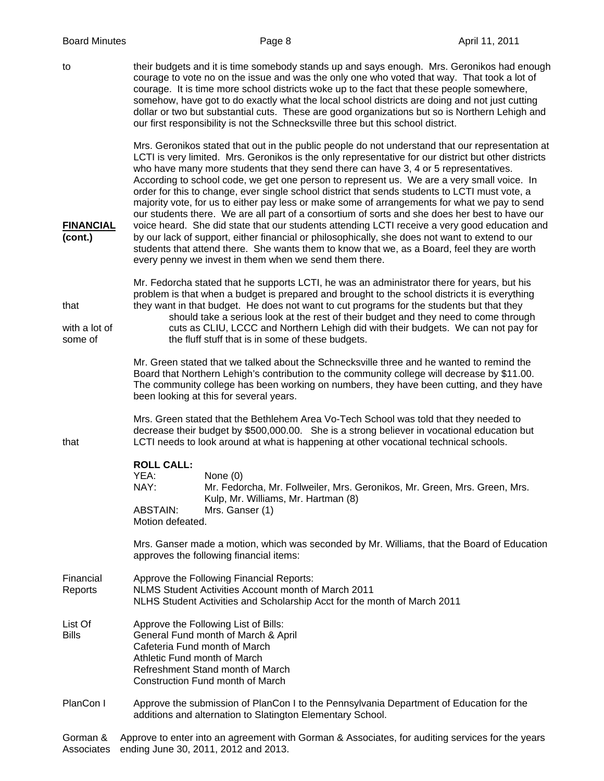to their budgets and it is time somebody stands up and says enough. Mrs. Geronikos had enough courage to vote no on the issue and was the only one who voted that way. That took a lot of courage. It is time more school districts woke up to the fact that these people somewhere, somehow, have got to do exactly what the local school districts are doing and not just cutting dollar or two but substantial cuts. These are good organizations but so is Northern Lehigh and our first responsibility is not the Schnecksville three but this school district.

 Mrs. Geronikos stated that out in the public people do not understand that our representation at LCTI is very limited. Mrs. Geronikos is the only representative for our district but other districts who have many more students that they send there can have 3, 4 or 5 representatives. According to school code, we get one person to represent us. We are a very small voice. In order for this to change, ever single school district that sends students to LCTI must vote, a majority vote, for us to either pay less or make some of arrangements for what we pay to send our students there. We are all part of a consortium of sorts and she does her best to have our **FINANCIAL** voice heard. She did state that our students attending LCTI receive a very good education and **(cont.)** by our lack of support, either financial or philosophically, she does not want to extend to our students that attend there. She wants them to know that we, as a Board, feel they are worth every penny we invest in them when we send them there.

 Mr. Fedorcha stated that he supports LCTI, he was an administrator there for years, but his problem is that when a budget is prepared and brought to the school districts it is everything that they want in that budget. He does not want to cut programs for the students but that they should take a serious look at the rest of their budget and they need to come through with a lot of cuts as CLIU, LCCC and Northern Lehigh did with their budgets. We can not pay for some of the fluff stuff that is in some of these budgets.

> Mr. Green stated that we talked about the Schnecksville three and he wanted to remind the Board that Northern Lehigh's contribution to the community college will decrease by \$11.00. The community college has been working on numbers, they have been cutting, and they have been looking at this for several years.

 Mrs. Green stated that the Bethlehem Area Vo-Tech School was told that they needed to decrease their budget by \$500,000.00. She is a strong believer in vocational education but that LCTI needs to look around at what is happening at other vocational technical schools.

## **ROLL CALL:**

YEA: None (0) NAY: Mr. Fedorcha, Mr. Follweiler, Mrs. Geronikos, Mr. Green, Mrs. Green, Mrs. Kulp, Mr. Williams, Mr. Hartman (8) ABSTAIN: Mrs. Ganser (1) Motion defeated.

 Mrs. Ganser made a motion, which was seconded by Mr. Williams, that the Board of Education approves the following financial items:

- Financial Approve the Following Financial Reports: Reports NLMS Student Activities Account month of March 2011 NLHS Student Activities and Scholarship Acct for the month of March 2011
- List Of **Approve the Following List of Bills:** Bills General Fund month of March & April Cafeteria Fund month of March Athletic Fund month of March Refreshment Stand month of March Construction Fund month of March
- PlanCon I Approve the submission of PlanCon I to the Pennsylvania Department of Education for the additions and alternation to Slatington Elementary School.

Gorman & Approve to enter into an agreement with Gorman & Associates, for auditing services for the years Associates ending June 30, 2011, 2012 and 2013.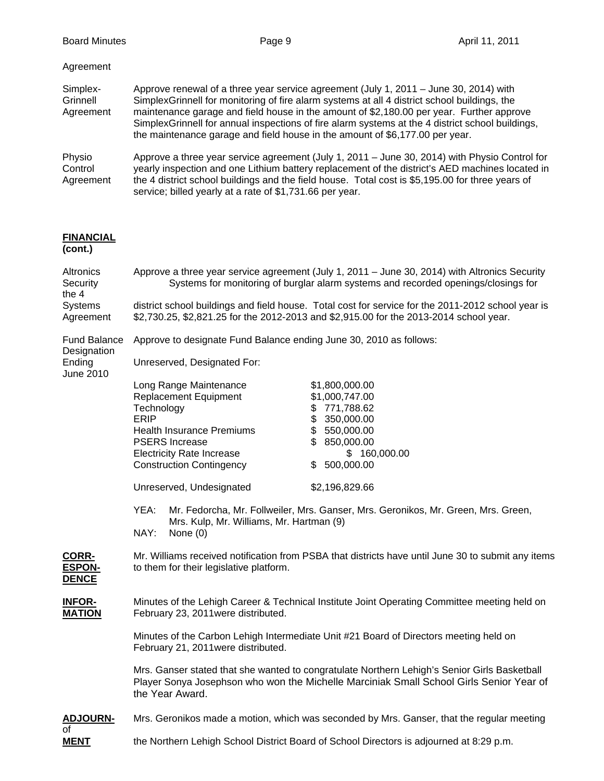| Agreement                         |                                                                                                                                                                                                                                                                                                                                                                                                                                                                       |
|-----------------------------------|-----------------------------------------------------------------------------------------------------------------------------------------------------------------------------------------------------------------------------------------------------------------------------------------------------------------------------------------------------------------------------------------------------------------------------------------------------------------------|
| Simplex-<br>Grinnell<br>Agreement | Approve renewal of a three year service agreement (July 1, 2011 – June 30, 2014) with<br>SimplexGrinnell for monitoring of fire alarm systems at all 4 district school buildings, the<br>maintenance garage and field house in the amount of \$2,180.00 per year. Further approve<br>SimplexGrinnell for annual inspections of fire alarm systems at the 4 district school buildings,<br>the maintenance garage and field house in the amount of \$6,177.00 per year. |
| Physio<br>Control<br>Agreement    | Approve a three year service agreement (July 1, 2011 - June 30, 2014) with Physio Control for<br>yearly inspection and one Lithium battery replacement of the district's AED machines located in<br>the 4 district school buildings and the field house. Total cost is \$5,195.00 for three years of<br>service; billed yearly at a rate of \$1,731.66 per year.                                                                                                      |

## **FINANCIAL**

## **(cont.)**

| Altronics<br>Security<br>the 4         | Approve a three year service agreement (July 1, 2011 - June 30, 2014) with Altronics Security<br>Systems for monitoring of burglar alarm systems and recorded openings/closings for                                                                                                                                                                  |  |  |  |
|----------------------------------------|------------------------------------------------------------------------------------------------------------------------------------------------------------------------------------------------------------------------------------------------------------------------------------------------------------------------------------------------------|--|--|--|
| Systems<br>Agreement                   | district school buildings and field house. Total cost for service for the 2011-2012 school year is<br>\$2,730.25, \$2,821.25 for the 2012-2013 and \$2,915.00 for the 2013-2014 school year.                                                                                                                                                         |  |  |  |
| <b>Fund Balance</b><br>Designation     | Approve to designate Fund Balance ending June 30, 2010 as follows:                                                                                                                                                                                                                                                                                   |  |  |  |
| Ending<br>June 2010                    | Unreserved, Designated For:                                                                                                                                                                                                                                                                                                                          |  |  |  |
|                                        | Long Range Maintenance<br>\$1,800,000.00<br>\$1,000,747.00<br><b>Replacement Equipment</b><br>\$771,788.62<br>Technology<br>ERIP<br>\$350,000.00<br>\$550,000.00<br><b>Health Insurance Premiums</b><br><b>PSERS Increase</b><br>\$850,000.00<br><b>Electricity Rate Increase</b><br>\$160,000.00<br><b>Construction Contingency</b><br>\$500,000.00 |  |  |  |
|                                        | Unreserved, Undesignated<br>\$2,196,829.66                                                                                                                                                                                                                                                                                                           |  |  |  |
|                                        | YEA:<br>Mr. Fedorcha, Mr. Follweiler, Mrs. Ganser, Mrs. Geronikos, Mr. Green, Mrs. Green,<br>Mrs. Kulp, Mr. Williams, Mr. Hartman (9)<br>NAY:<br>None $(0)$                                                                                                                                                                                          |  |  |  |
| CORR-<br><b>ESPON-</b><br><b>DENCE</b> | Mr. Williams received notification from PSBA that districts have until June 30 to submit any items<br>to them for their legislative platform.                                                                                                                                                                                                        |  |  |  |
| <b>INFOR-</b><br><b>MATION</b>         | Minutes of the Lehigh Career & Technical Institute Joint Operating Committee meeting held on<br>February 23, 2011 were distributed.                                                                                                                                                                                                                  |  |  |  |
|                                        | Minutes of the Carbon Lehigh Intermediate Unit #21 Board of Directors meeting held on<br>February 21, 2011 were distributed.                                                                                                                                                                                                                         |  |  |  |
|                                        | Mrs. Ganser stated that she wanted to congratulate Northern Lehigh's Senior Girls Basketball<br>Player Sonya Josephson who won the Michelle Marciniak Small School Girls Senior Year of<br>the Year Award.                                                                                                                                           |  |  |  |
| <b>ADJOURN-</b><br>of                  | Mrs. Geronikos made a motion, which was seconded by Mrs. Ganser, that the regular meeting                                                                                                                                                                                                                                                            |  |  |  |
| <b>MENT</b>                            | the Northern Lehigh School District Board of School Directors is adjourned at 8:29 p.m.                                                                                                                                                                                                                                                              |  |  |  |